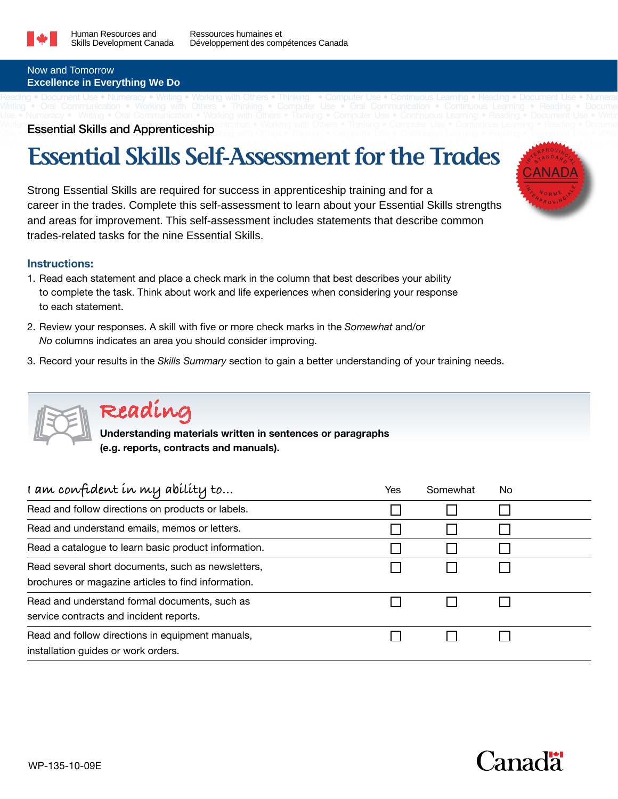

#### Now and Tomorrow **Excellence in Everything We Do**

#### Working with Other Writing or Communication • Working with Others • Thinking • Computer Use • Continuous Learning • Reading • Docume Workin Essential Skills and Apprenticeship with Others • Thinking • Computer Use • Communication • Reading • Reading • Document Use • Writing International Computer Use • Writing International Computer Use • Writing Intern

## **Essential Skills Self-Assessment for the Trades**

Reading • Document Use • Numeracy • Writing • Working with Others • Thinking • Computer Use • Continuous Learning • Reading • Document Use • Numerac Writing • Oral Communication • Working with Others • Thinking • Computer Use • Oral Communication • Continuous Learning • Reading • Docume

Strong Essential Skills are required for success in apprenticeship training and for a career in the trades. Complete this self-assessment to learn about your Essential Skills strengths and areas for improvement. This self-assessment includes statements that describe common trades-related tasks for the nine Essential Skills.

### **Instructions:**

- 1. Read each statement and place a check mark in the column that best describes your ability to complete the task. Think about work and life experiences when considering your response to each statement.
- 2. Review your responses. A skill with five or more check marks in the *Somewhat* and/or *No* columns indicates an area you should consider improving.
- 3. Record your results in the *Skills Summary* section to gain a better understanding of your training needs.



### **Reading**

**Understanding materials written in sentences or paragraphs (e.g. reports, contracts and manuals).**

| I am confident in my ability to                                                                           | Yes | Somewhat | No |
|-----------------------------------------------------------------------------------------------------------|-----|----------|----|
| Read and follow directions on products or labels.                                                         |     |          |    |
| Read and understand emails, memos or letters.                                                             |     |          |    |
| Read a catalogue to learn basic product information.                                                      |     |          |    |
| Read several short documents, such as newsletters,<br>brochures or magazine articles to find information. |     |          |    |
| Read and understand formal documents, such as<br>service contracts and incident reports.                  |     |          |    |
| Read and follow directions in equipment manuals,<br>installation guides or work orders.                   |     |          |    |

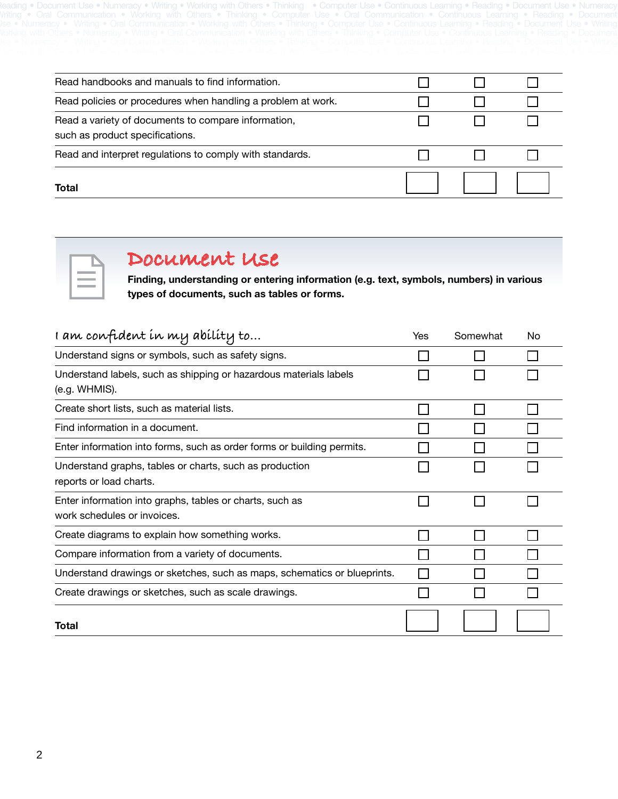| Total                                                                                  |  |  |
|----------------------------------------------------------------------------------------|--|--|
| Read and interpret regulations to comply with standards.                               |  |  |
| Read a variety of documents to compare information,<br>such as product specifications. |  |  |
| Read policies or procedures when handling a problem at work.                           |  |  |
| Read handbooks and manuals to find information.                                        |  |  |

Reading • Document Use • Numeracy • Writing • Working with Others • Thinking • Computer Use • Continuous Learning • Reading • Document Use • Numeracy Writing • Oral Communication • Working with Others • Thinking • Computer Use • Oral Communication • Continuous Learning • Reading • Document



### **Document Use**

**Finding, understanding or entering information (e.g. text, symbols, numbers) in various types of documents, such as tables or forms.**

| I am confident in my ability to                                                         | Yes | Somewhat | No |
|-----------------------------------------------------------------------------------------|-----|----------|----|
| Understand signs or symbols, such as safety signs.                                      |     |          |    |
| Understand labels, such as shipping or hazardous materials labels<br>(e.g. WHMIS).      |     |          |    |
| Create short lists, such as material lists.                                             |     |          |    |
| Find information in a document.                                                         |     |          |    |
| Enter information into forms, such as order forms or building permits.                  |     |          |    |
| Understand graphs, tables or charts, such as production<br>reports or load charts.      |     |          |    |
| Enter information into graphs, tables or charts, such as<br>work schedules or invoices. |     |          |    |
| Create diagrams to explain how something works.                                         |     |          |    |
| Compare information from a variety of documents.                                        |     |          |    |
| Understand drawings or sketches, such as maps, schematics or blueprints.                |     |          |    |
| Create drawings or sketches, such as scale drawings.                                    |     |          |    |
| Total                                                                                   |     |          |    |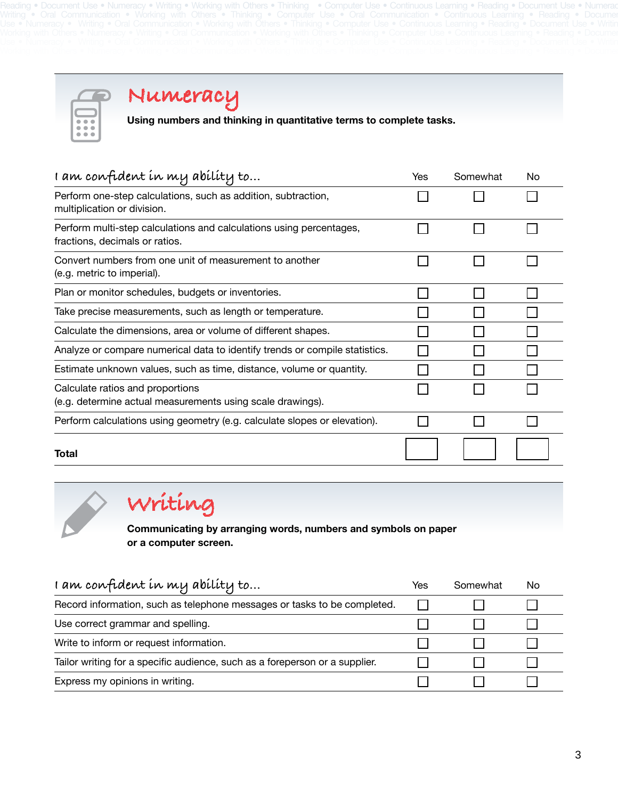Reading • Document Use • Numeracy • Writing • Working with Others • Thinking • Computer Use • Continuous Learning • Reading • Document Use • Numeracy Writing • Oral Communication • Working with Others • Thinking • Computer Use • Oral Communication • Continuous Learning • Reading • Documer



### **Numeracy**

**Using numbers and thinking in quantitative terms to complete tasks.** 

| I am confident in my ability to                                                                       | Yes | Somewhat | No |
|-------------------------------------------------------------------------------------------------------|-----|----------|----|
| Perform one-step calculations, such as addition, subtraction,<br>multiplication or division.          |     |          |    |
| Perform multi-step calculations and calculations using percentages,<br>fractions, decimals or ratios. |     |          |    |
| Convert numbers from one unit of measurement to another<br>(e.g. metric to imperial).                 |     |          |    |
| Plan or monitor schedules, budgets or inventories.                                                    |     |          |    |
| Take precise measurements, such as length or temperature.                                             |     |          |    |
| Calculate the dimensions, area or volume of different shapes.                                         |     |          |    |
| Analyze or compare numerical data to identify trends or compile statistics.                           |     |          |    |
| Estimate unknown values, such as time, distance, volume or quantity.                                  |     |          |    |
| Calculate ratios and proportions<br>(e.g. determine actual measurements using scale drawings).        |     |          |    |
| Perform calculations using geometry (e.g. calculate slopes or elevation).                             |     |          |    |
| Total                                                                                                 |     |          |    |

# **Writing**

**Communicating by arranging words, numbers and symbols on paper or a computer screen.**

| I am confident in my ability to                                             | Yes | Somewhat | No |
|-----------------------------------------------------------------------------|-----|----------|----|
| Record information, such as telephone messages or tasks to be completed.    |     |          |    |
| Use correct grammar and spelling.                                           |     |          |    |
| Write to inform or request information.                                     |     |          |    |
| Tailor writing for a specific audience, such as a foreperson or a supplier. |     |          |    |
| Express my opinions in writing.                                             |     |          |    |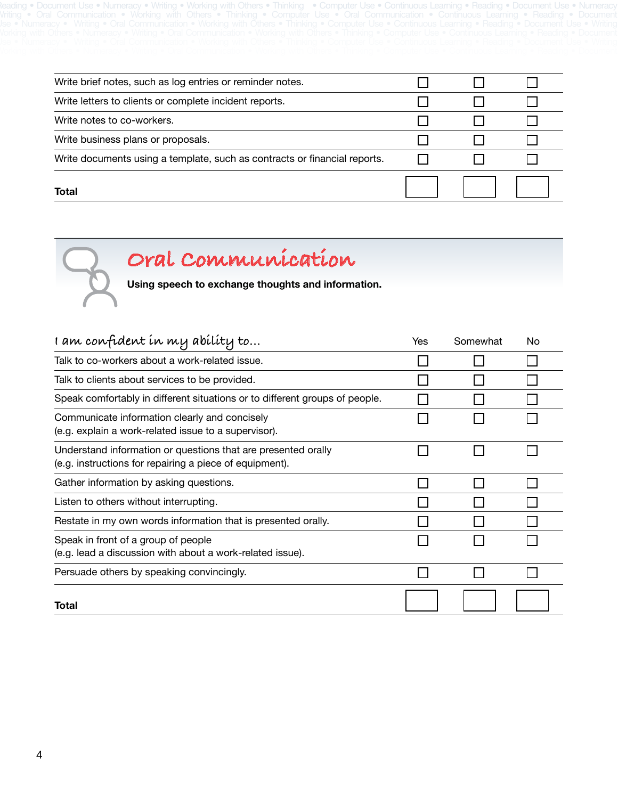Reading • Document Use • Numeracy • Writing • Working with Others • Thinking • Computer Use • Continuous Learning • Reading • Document Use • Numeracy Writing • Oral Communication • Working with Others • Thinking • Computer Use • Oral Communication • Continuous Learning • Reading • Document

| Total                                                                     |  |  |
|---------------------------------------------------------------------------|--|--|
| Write documents using a template, such as contracts or financial reports. |  |  |
| Write business plans or proposals.                                        |  |  |
| Write notes to co-workers.                                                |  |  |
| Write letters to clients or complete incident reports.                    |  |  |
| Write brief notes, such as log entries or reminder notes.                 |  |  |



**Using speech to exchange thoughts and information.**

| i am confident in my ability to                                                                                          | Yes | Somewhat | No |
|--------------------------------------------------------------------------------------------------------------------------|-----|----------|----|
| Talk to co-workers about a work-related issue.                                                                           |     |          |    |
| Talk to clients about services to be provided.                                                                           |     |          |    |
| Speak comfortably in different situations or to different groups of people.                                              |     |          |    |
| Communicate information clearly and concisely<br>(e.g. explain a work-related issue to a supervisor).                    |     |          |    |
| Understand information or questions that are presented orally<br>(e.g. instructions for repairing a piece of equipment). |     |          |    |
| Gather information by asking questions.                                                                                  |     |          |    |
| Listen to others without interrupting.                                                                                   |     |          |    |
| Restate in my own words information that is presented orally.                                                            |     |          |    |
| Speak in front of a group of people<br>(e.g. lead a discussion with about a work-related issue).                         |     |          |    |
| Persuade others by speaking convincingly.                                                                                |     |          |    |
| <b>Total</b>                                                                                                             |     |          |    |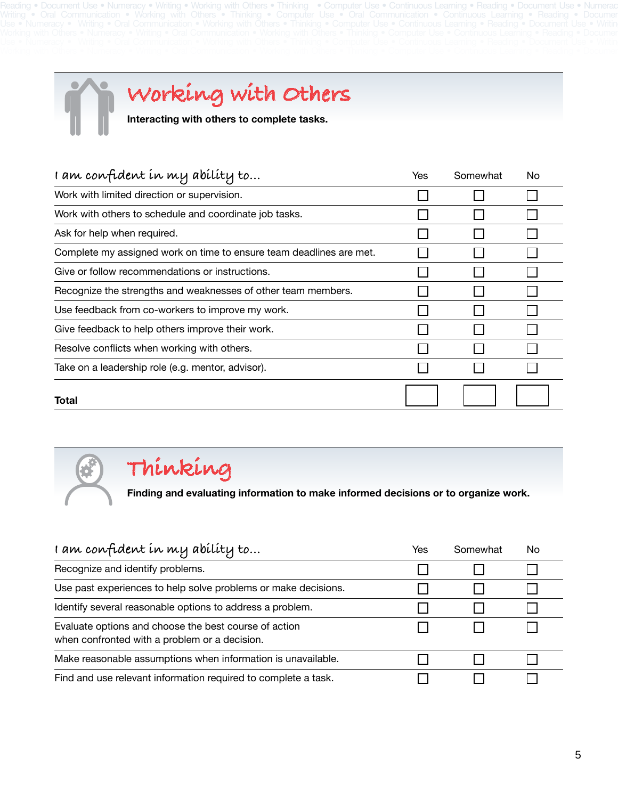Reading • Document Use • Numeracy • Writing • Working with Others • Thinking • Computer Use • Continuous Learning • Reading • Document Use • Numeracy Writing • Oral Communication • Working with Others • Thinking • Computer Use • Oral Communication • Continuous Learning • Reading • Documer



# **Working with Others**

**Interacting with others to complete tasks.**

| I am confident in my ability to                                     | Yes | Somewhat | No |
|---------------------------------------------------------------------|-----|----------|----|
| Work with limited direction or supervision.                         |     |          |    |
| Work with others to schedule and coordinate job tasks.              |     |          |    |
| Ask for help when required.                                         |     |          |    |
| Complete my assigned work on time to ensure team deadlines are met. |     |          |    |
| Give or follow recommendations or instructions.                     |     |          |    |
| Recognize the strengths and weaknesses of other team members.       |     |          |    |
| Use feedback from co-workers to improve my work.                    |     |          |    |
| Give feedback to help others improve their work.                    |     |          |    |
| Resolve conflicts when working with others.                         |     |          |    |
| Take on a leadership role (e.g. mentor, advisor).                   |     |          |    |
| Total                                                               |     |          |    |



### **Thinking**

**Finding and evaluating information to make informed decisions or to organize work.**

| I am confident in my ability to                                                                        | Yes | Somewhat | No |
|--------------------------------------------------------------------------------------------------------|-----|----------|----|
| Recognize and identify problems.                                                                       |     |          |    |
| Use past experiences to help solve problems or make decisions.                                         |     |          |    |
| Identify several reasonable options to address a problem.                                              |     |          |    |
| Evaluate options and choose the best course of action<br>when confronted with a problem or a decision. |     |          |    |
| Make reasonable assumptions when information is unavailable.                                           |     |          |    |
| Find and use relevant information required to complete a task.                                         |     |          |    |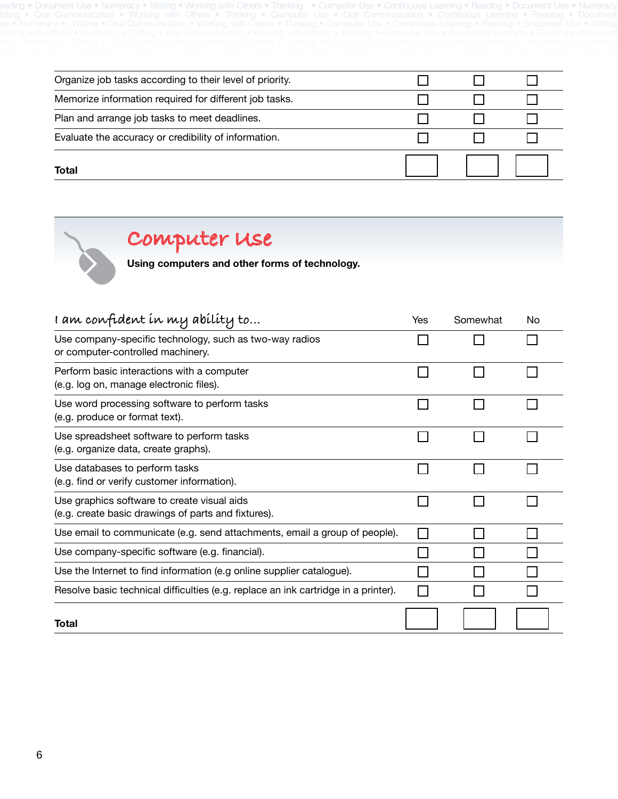|  |  | voding e Dooumont Lloo e Numoroque Writing e Working with Otham e Thinking e Computar Lloo e Captinuoug Loorning e Dooding e Dooumont Lloo e Numoroqu<br>. DOMITICHE OOS IN HULLGROV IN VITHING IN VERTING VITHING IS THEINER HULLGROUND TO IN SURFACTOR TOOL HERORIS IN THE OOS IN THE OOS IN THE OOS IN THE ORD IN THE ORD IN THE ORD IN THE ORD IN THE ORD IN THE ORD IN THE ORD IN |  |  |  |  |
|--|--|----------------------------------------------------------------------------------------------------------------------------------------------------------------------------------------------------------------------------------------------------------------------------------------------------------------------------------------------------------------------------------------|--|--|--|--|
|  |  | biting a Oral Communication a Waybing with Others a Thipbing a Communicate Llos a Oral Communication a Continuous Looming a Document<br>TRING * UNA UUNINAMUN * YVUNNQ YAH UHGO * HIINNQ * UUNDUG UOG * UNA UUNNUKAMUN * UUNHUUGO LGANINQ * HGAUNQ * DUUNNGR                                                                                                                           |  |  |  |  |
|  |  | Numorou e Writing e Orol Communication e Worlding with Othoro e Thinling e Computer Lloc e Continuous Looming e Dooding e Dooumont Lloc e Writing<br>' INUHIGIQUY " YVHUHU " UTQL UUHHHUHUQUUH " YVUTNHU VIHH UUHGIO " HHHNHU " UUHHUUGI UJG " UUHHHUUGI LGQHHHU " HGQUHIQ " LUUUHHGHL UJG " YVHUHU                                                                                    |  |  |  |  |
|  |  | iches with Otham a Numarcay a Withou a Oral Cammunication a Warbina with Otham a Thirling a Cammuna Una a Cambinuara Lagrange a Daodina a Daodini<br>inin widi vund 1 nahoguy 1 miling 1 vidin vuhininguguh 1 munin widi vund 1 hihnin 1 vuhingu vuu 1 vuhingug Ludining 1 nagin 1 1 daga 1                                                                                            |  |  |  |  |
|  |  | inainaray tiin nimin tura uvitiinainuautit invinin 1910 uungutiin in atuu tuurise uu tuurisuud luu luu tinguin tiin tuurisuud tiin kuutiin uu                                                                                                                                                                                                                                          |  |  |  |  |
|  |  |                                                                                                                                                                                                                                                                                                                                                                                        |  |  |  |  |

| Total                                                    |  |  |
|----------------------------------------------------------|--|--|
| Evaluate the accuracy or credibility of information.     |  |  |
| Plan and arrange job tasks to meet deadlines.            |  |  |
| Memorize information required for different job tasks.   |  |  |
| Organize job tasks according to their level of priority. |  |  |

**Computer Use**

**Using computers and other forms of technology.** 

| I am confident in my ability to                                                                    | Yes | Somewhat | No |
|----------------------------------------------------------------------------------------------------|-----|----------|----|
| Use company-specific technology, such as two-way radios<br>or computer-controlled machinery.       |     |          |    |
| Perform basic interactions with a computer<br>(e.g. log on, manage electronic files).              |     |          |    |
| Use word processing software to perform tasks<br>(e.g. produce or format text).                    |     |          |    |
| Use spreadsheet software to perform tasks<br>(e.g. organize data, create graphs).                  |     |          |    |
| Use databases to perform tasks<br>(e.g. find or verify customer information).                      |     |          |    |
| Use graphics software to create visual aids<br>(e.g. create basic drawings of parts and fixtures). |     |          |    |
| Use email to communicate (e.g. send attachments, email a group of people).                         |     |          |    |
| Use company-specific software (e.g. financial).                                                    |     |          |    |
| Use the Internet to find information (e.g online supplier catalogue).                              |     |          |    |
| Resolve basic technical difficulties (e.g. replace an ink cartridge in a printer).                 |     |          |    |
| Total                                                                                              |     |          |    |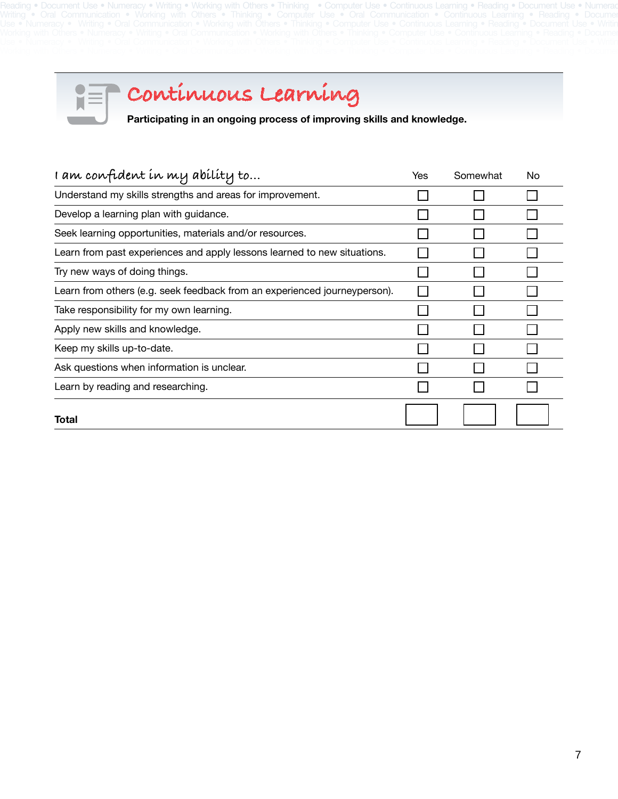Reading • Document Use • Numeracy • Writing • Working with Others • Thinking • Computer Use • Continuous Learning • Reading • Document Use • Numeracy Writing • Oral Communication • Working with Others • Thinking • Computer Use • Oral Communication • Continuous Learning • Reading • Documer



**Continuous Learning**

**Participating in an ongoing process of improving skills and knowledge.**

| i am confident in my ability to                                           | Yes | Somewhat | No |
|---------------------------------------------------------------------------|-----|----------|----|
| Understand my skills strengths and areas for improvement.                 |     |          |    |
| Develop a learning plan with guidance.                                    |     |          |    |
| Seek learning opportunities, materials and/or resources.                  |     |          |    |
| Learn from past experiences and apply lessons learned to new situations.  |     |          |    |
| Try new ways of doing things.                                             |     |          |    |
| Learn from others (e.g. seek feedback from an experienced journeyperson). |     |          |    |
| Take responsibility for my own learning.                                  |     |          |    |
| Apply new skills and knowledge.                                           |     |          |    |
| Keep my skills up-to-date.                                                |     |          |    |
| Ask questions when information is unclear.                                |     |          |    |
| Learn by reading and researching.                                         |     |          |    |
| Total                                                                     |     |          |    |